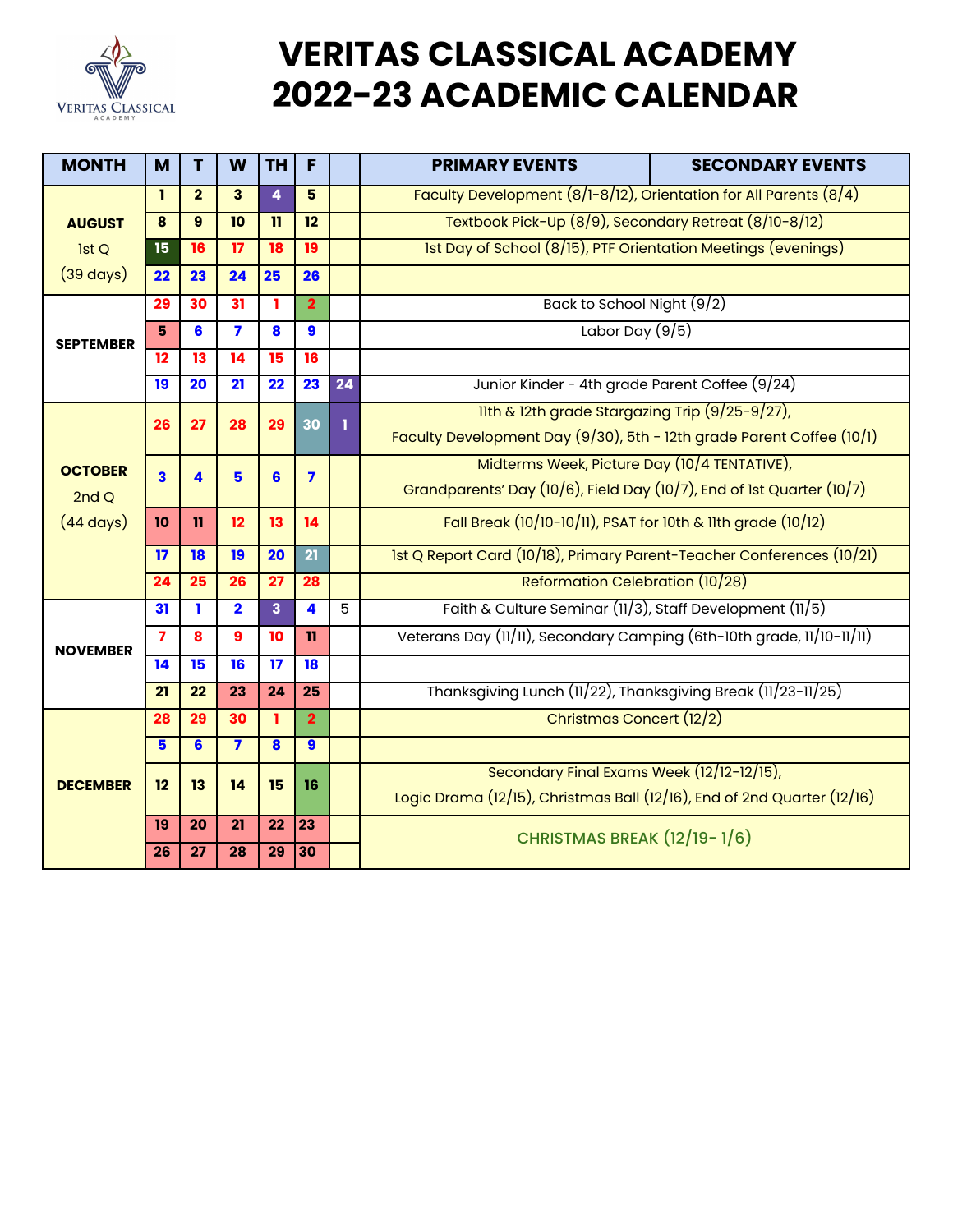

## **VERITAS CLASSICAL ACADEMY 2022-23 ACADEMIC CALENDAR**

| <b>MONTH</b>                                  | M               | T               | W                       | <b>TH</b>               | F                       |                | <b>PRIMARY EVENTS</b>                                                    | <b>SECONDARY EVENTS</b> |  |  |
|-----------------------------------------------|-----------------|-----------------|-------------------------|-------------------------|-------------------------|----------------|--------------------------------------------------------------------------|-------------------------|--|--|
|                                               | ı               | $\overline{2}$  | 3                       | $\overline{4}$          | 5                       |                | Faculty Development $(8/1 - 8/12)$ , Orientation for All Parents $(8/4)$ |                         |  |  |
| <b>AUGUST</b>                                 | 8               | 9               | 10                      | $\mathbf{11}$           | 12                      |                | Textbook Pick-Up (8/9), Secondary Retreat (8/10-8/12)                    |                         |  |  |
| 1st Q                                         | 15              | 16              | 17                      | 18                      | 19                      |                | Ist Day of School (8/15), PTF Orientation Meetings (evenings)            |                         |  |  |
| $(39 \text{ days})$                           | 22              | 23              | 24                      | 25                      | 26                      |                |                                                                          |                         |  |  |
| <b>SEPTEMBER</b>                              | 29              | 30              | 31                      | ı.                      | $\overline{2}$          |                | Back to School Night (9/2)                                               |                         |  |  |
|                                               | 5               | 6               | $\overline{\mathbf{z}}$ | 8                       | 9                       |                | Labor Day $(9/5)$                                                        |                         |  |  |
|                                               | $\overline{12}$ | $\overline{13}$ | $\overline{14}$         | $\overline{15}$         | $\overline{16}$         |                |                                                                          |                         |  |  |
|                                               | 19              | 20              | 21                      | 22                      | 23                      | 24             | Junior Kinder - 4th grade Parent Coffee (9/24)                           |                         |  |  |
| <b>OCTOBER</b><br>2ndQ<br>$(44 \text{ days})$ | 26              | 27              | 28                      | 29                      | 30                      | ı              | 11th & 12th grade Stargazing Trip (9/25-9/27),                           |                         |  |  |
|                                               |                 |                 |                         |                         |                         |                | Faculty Development Day (9/30), 5th - 12th grade Parent Coffee (10/1)    |                         |  |  |
|                                               | 3               | 4               | 5                       | 6                       | $\overline{\mathbf{z}}$ |                | Midterms Week, Picture Day (10/4 TENTATIVE),                             |                         |  |  |
|                                               |                 |                 |                         |                         |                         |                | Grandparents' Day (10/6), Field Day (10/7), End of 1st Quarter (10/7)    |                         |  |  |
|                                               | 10              | $\mathbf{u}$    | 12                      | 13                      | 14                      |                | Fall Break (10/10-10/11), PSAT for 10th & 11th grade (10/12)             |                         |  |  |
|                                               | 17              | 18              | 19                      | 20                      | 21                      |                | 1st Q Report Card (10/18), Primary Parent-Teacher Conferences (10/21)    |                         |  |  |
|                                               | 24              | 25              | 26                      | 27                      | 28                      |                | Reformation Celebration (10/28)                                          |                         |  |  |
| <b>NOVEMBER</b>                               | 31              | ı               | $\overline{\mathbf{2}}$ | $\overline{\mathbf{3}}$ | $\overline{\mathbf{4}}$ | $\overline{5}$ | Faith & Culture Seminar (11/3), Staff Development (11/5)                 |                         |  |  |
|                                               | $\overline{7}$  | 8               | 9                       | 10                      | $\mathbf{u}$            |                | Veterans Day (11/11), Secondary Camping (6th-10th grade, 11/10-11/11)    |                         |  |  |
|                                               | 14              | 15              | 16                      | 17                      | 18                      |                |                                                                          |                         |  |  |
|                                               | 21              | 22              | 23                      | 24                      | 25                      |                | Thanksgiving Lunch (11/22), Thanksgiving Break (11/23-11/25)             |                         |  |  |
| <b>DECEMBER</b>                               | 28              | 29              | 30                      | ı.                      | $\overline{2}$          |                | Christmas Concert (12/2)                                                 |                         |  |  |
|                                               | 5               | 6               | $\overline{\mathbf{z}}$ | $\overline{\mathbf{8}}$ | $\boldsymbol{9}$        |                |                                                                          |                         |  |  |
|                                               | 12              | 13              | 14                      | 15                      | 16                      |                | Secondary Final Exams Week (12/12-12/15),                                |                         |  |  |
|                                               |                 |                 |                         |                         |                         |                | Logic Drama (12/15), Christmas Ball (12/16), End of 2nd Quarter (12/16)  |                         |  |  |
|                                               | 19              | 20              | 21                      | 22                      | $\overline{23}$         |                | CHRISTMAS BREAK (12/19-1/6)                                              |                         |  |  |
|                                               | 26              | 27              | 28                      | 29                      | 30                      |                |                                                                          |                         |  |  |